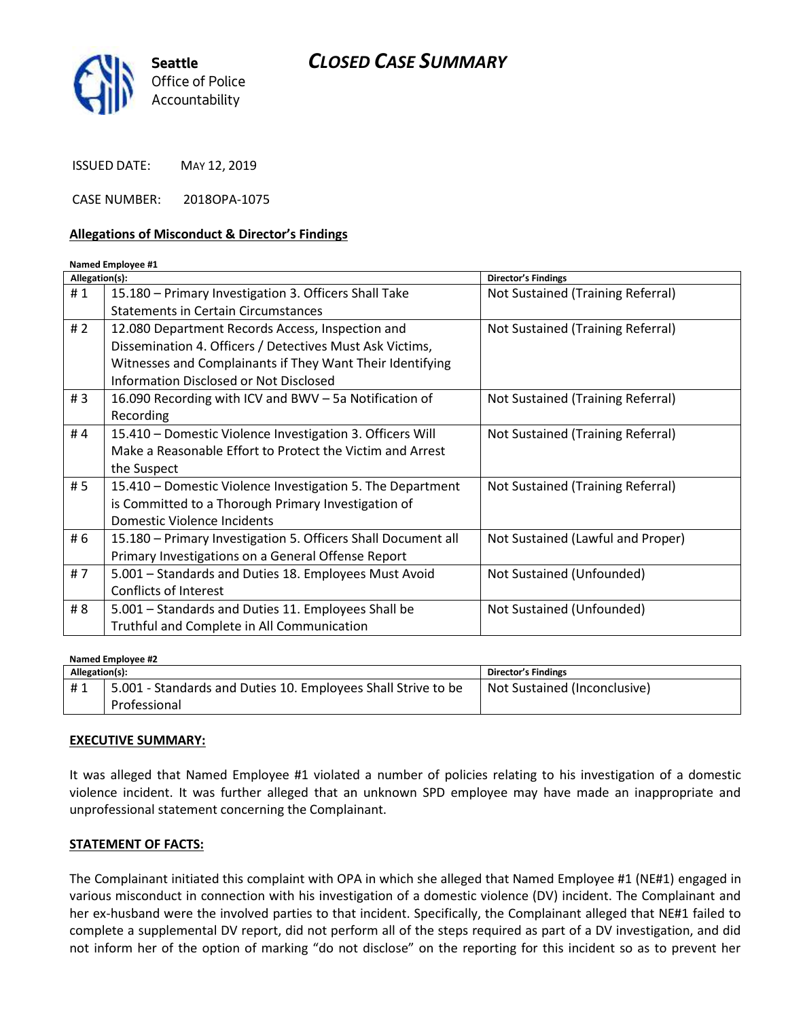# *CLOSED CASE SUMMARY*



ISSUED DATE: MAY 12, 2019

CASE NUMBER: 2018OPA-1075

#### **Allegations of Misconduct & Director's Findings**

#### **Named Employee #1**

| Allegation(s): |                                                               | <b>Director's Findings</b>        |
|----------------|---------------------------------------------------------------|-----------------------------------|
| #1             | 15.180 - Primary Investigation 3. Officers Shall Take         | Not Sustained (Training Referral) |
|                | Statements in Certain Circumstances                           |                                   |
| #2             | 12.080 Department Records Access, Inspection and              | Not Sustained (Training Referral) |
|                | Dissemination 4. Officers / Detectives Must Ask Victims,      |                                   |
|                | Witnesses and Complainants if They Want Their Identifying     |                                   |
|                | Information Disclosed or Not Disclosed                        |                                   |
| #3             | 16.090 Recording with ICV and BWV - 5a Notification of        | Not Sustained (Training Referral) |
|                | Recording                                                     |                                   |
| #4             | 15.410 – Domestic Violence Investigation 3. Officers Will     | Not Sustained (Training Referral) |
|                | Make a Reasonable Effort to Protect the Victim and Arrest     |                                   |
|                | the Suspect                                                   |                                   |
| # 5            | 15.410 - Domestic Violence Investigation 5. The Department    | Not Sustained (Training Referral) |
|                | is Committed to a Thorough Primary Investigation of           |                                   |
|                | Domestic Violence Incidents                                   |                                   |
| # 6            | 15.180 - Primary Investigation 5. Officers Shall Document all | Not Sustained (Lawful and Proper) |
|                | Primary Investigations on a General Offense Report            |                                   |
| #7             | 5.001 - Standards and Duties 18. Employees Must Avoid         | Not Sustained (Unfounded)         |
|                | Conflicts of Interest                                         |                                   |
| # 8            | 5.001 - Standards and Duties 11. Employees Shall be           | Not Sustained (Unfounded)         |
|                | Truthful and Complete in All Communication                    |                                   |

**Named Employee #2 Allegation(s): Director's Findings** # 1 | 5.001 - Standards and Duties 10. Employees Shall Strive to be Professional Not Sustained (Inconclusive)

#### **EXECUTIVE SUMMARY:**

It was alleged that Named Employee #1 violated a number of policies relating to his investigation of a domestic violence incident. It was further alleged that an unknown SPD employee may have made an inappropriate and unprofessional statement concerning the Complainant.

## **STATEMENT OF FACTS:**

The Complainant initiated this complaint with OPA in which she alleged that Named Employee #1 (NE#1) engaged in various misconduct in connection with his investigation of a domestic violence (DV) incident. The Complainant and her ex-husband were the involved parties to that incident. Specifically, the Complainant alleged that NE#1 failed to complete a supplemental DV report, did not perform all of the steps required as part of a DV investigation, and did not inform her of the option of marking "do not disclose" on the reporting for this incident so as to prevent her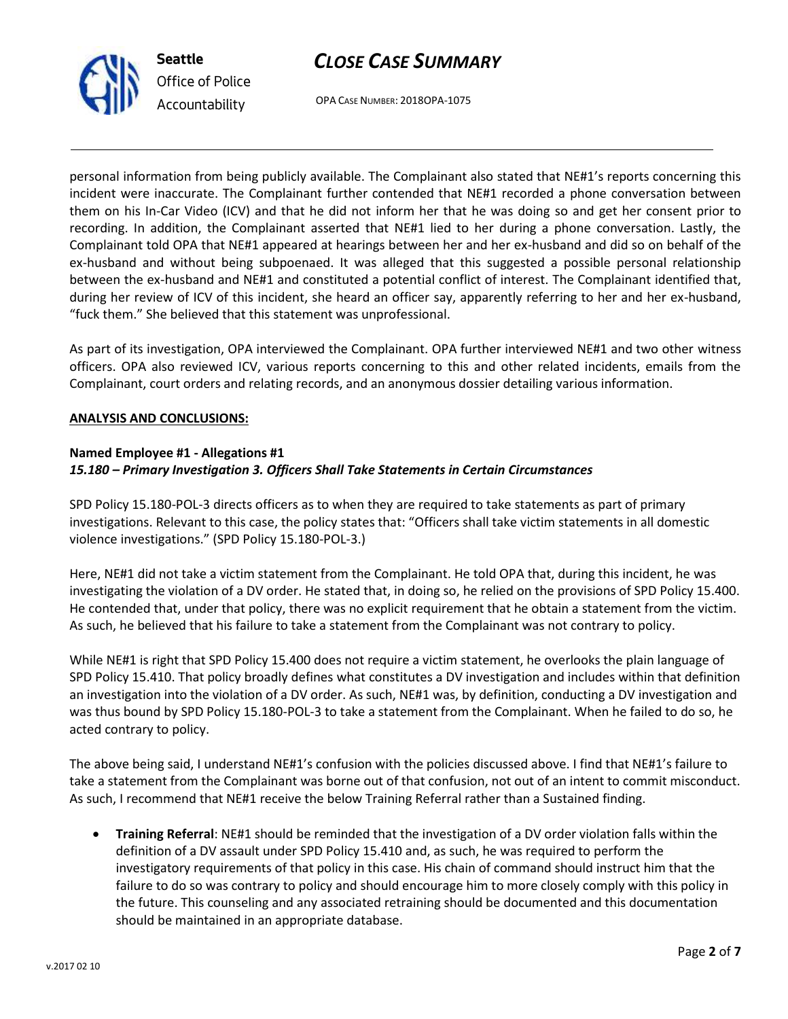# *CLOSE CASE SUMMARY*



*Office of Police Accountability*

OPA CASE NUMBER: 2018OPA-1075

personal information from being publicly available. The Complainant also stated that NE#1's reports concerning this incident were inaccurate. The Complainant further contended that NE#1 recorded a phone conversation between them on his In-Car Video (ICV) and that he did not inform her that he was doing so and get her consent prior to recording. In addition, the Complainant asserted that NE#1 lied to her during a phone conversation. Lastly, the Complainant told OPA that NE#1 appeared at hearings between her and her ex-husband and did so on behalf of the ex-husband and without being subpoenaed. It was alleged that this suggested a possible personal relationship between the ex-husband and NE#1 and constituted a potential conflict of interest. The Complainant identified that, during her review of ICV of this incident, she heard an officer say, apparently referring to her and her ex-husband, "fuck them." She believed that this statement was unprofessional.

As part of its investigation, OPA interviewed the Complainant. OPA further interviewed NE#1 and two other witness officers. OPA also reviewed ICV, various reports concerning to this and other related incidents, emails from the Complainant, court orders and relating records, and an anonymous dossier detailing various information.

## **ANALYSIS AND CONCLUSIONS:**

## **Named Employee #1 - Allegations #1** *15.180 – Primary Investigation 3. Officers Shall Take Statements in Certain Circumstances*

SPD Policy 15.180-POL-3 directs officers as to when they are required to take statements as part of primary investigations. Relevant to this case, the policy states that: "Officers shall take victim statements in all domestic violence investigations." (SPD Policy 15.180-POL-3.)

Here, NE#1 did not take a victim statement from the Complainant. He told OPA that, during this incident, he was investigating the violation of a DV order. He stated that, in doing so, he relied on the provisions of SPD Policy 15.400. He contended that, under that policy, there was no explicit requirement that he obtain a statement from the victim. As such, he believed that his failure to take a statement from the Complainant was not contrary to policy.

While NE#1 is right that SPD Policy 15.400 does not require a victim statement, he overlooks the plain language of SPD Policy 15.410. That policy broadly defines what constitutes a DV investigation and includes within that definition an investigation into the violation of a DV order. As such, NE#1 was, by definition, conducting a DV investigation and was thus bound by SPD Policy 15.180-POL-3 to take a statement from the Complainant. When he failed to do so, he acted contrary to policy.

The above being said, I understand NE#1's confusion with the policies discussed above. I find that NE#1's failure to take a statement from the Complainant was borne out of that confusion, not out of an intent to commit misconduct. As such, I recommend that NE#1 receive the below Training Referral rather than a Sustained finding.

• **Training Referral**: NE#1 should be reminded that the investigation of a DV order violation falls within the definition of a DV assault under SPD Policy 15.410 and, as such, he was required to perform the investigatory requirements of that policy in this case. His chain of command should instruct him that the failure to do so was contrary to policy and should encourage him to more closely comply with this policy in the future. This counseling and any associated retraining should be documented and this documentation should be maintained in an appropriate database.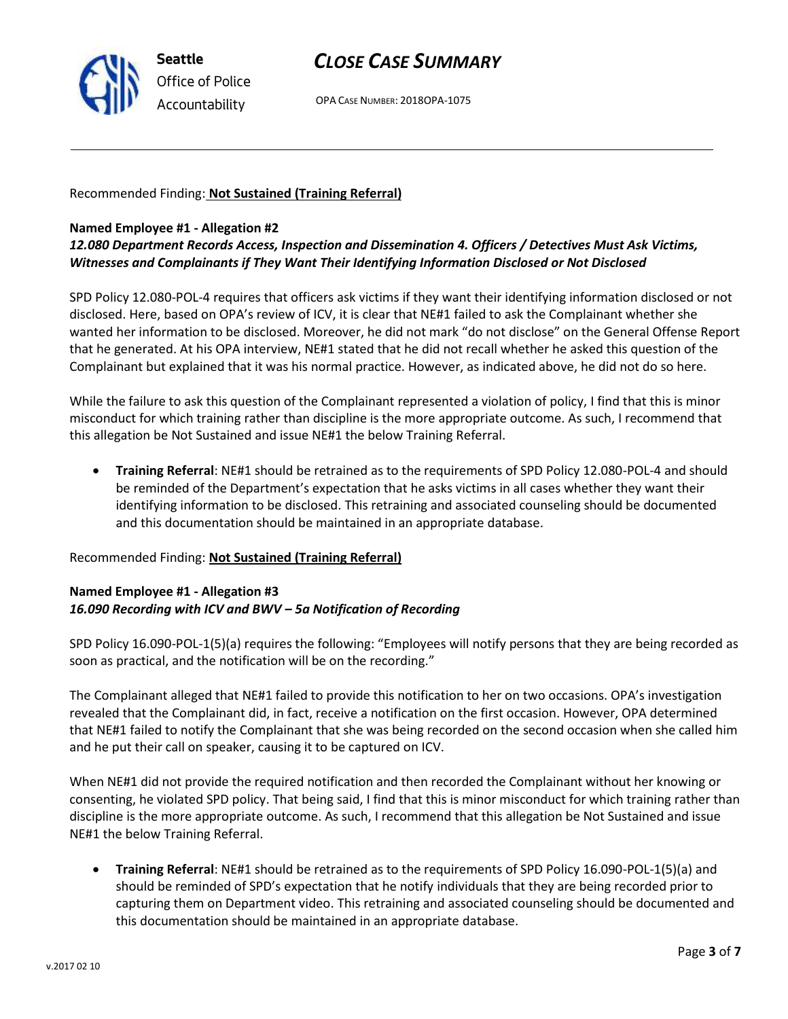

# *CLOSE CASE SUMMARY*

OPA CASE NUMBER: 2018OPA-1075

Recommended Finding: **Not Sustained (Training Referral)**

#### **Named Employee #1 - Allegation #2**

*12.080 Department Records Access, Inspection and Dissemination 4. Officers / Detectives Must Ask Victims, Witnesses and Complainants if They Want Their Identifying Information Disclosed or Not Disclosed*

SPD Policy 12.080-POL-4 requires that officers ask victims if they want their identifying information disclosed or not disclosed. Here, based on OPA's review of ICV, it is clear that NE#1 failed to ask the Complainant whether she wanted her information to be disclosed. Moreover, he did not mark "do not disclose" on the General Offense Report that he generated. At his OPA interview, NE#1 stated that he did not recall whether he asked this question of the Complainant but explained that it was his normal practice. However, as indicated above, he did not do so here.

While the failure to ask this question of the Complainant represented a violation of policy, I find that this is minor misconduct for which training rather than discipline is the more appropriate outcome. As such, I recommend that this allegation be Not Sustained and issue NE#1 the below Training Referral.

• **Training Referral**: NE#1 should be retrained as to the requirements of SPD Policy 12.080-POL-4 and should be reminded of the Department's expectation that he asks victims in all cases whether they want their identifying information to be disclosed. This retraining and associated counseling should be documented and this documentation should be maintained in an appropriate database.

Recommended Finding: **Not Sustained (Training Referral)**

## **Named Employee #1 - Allegation #3** *16.090 Recording with ICV and BWV – 5a Notification of Recording*

SPD Policy 16.090-POL-1(5)(a) requires the following: "Employees will notify persons that they are being recorded as soon as practical, and the notification will be on the recording."

The Complainant alleged that NE#1 failed to provide this notification to her on two occasions. OPA's investigation revealed that the Complainant did, in fact, receive a notification on the first occasion. However, OPA determined that NE#1 failed to notify the Complainant that she was being recorded on the second occasion when she called him and he put their call on speaker, causing it to be captured on ICV.

When NE#1 did not provide the required notification and then recorded the Complainant without her knowing or consenting, he violated SPD policy. That being said, I find that this is minor misconduct for which training rather than discipline is the more appropriate outcome. As such, I recommend that this allegation be Not Sustained and issue NE#1 the below Training Referral.

• **Training Referral**: NE#1 should be retrained as to the requirements of SPD Policy 16.090-POL-1(5)(a) and should be reminded of SPD's expectation that he notify individuals that they are being recorded prior to capturing them on Department video. This retraining and associated counseling should be documented and this documentation should be maintained in an appropriate database.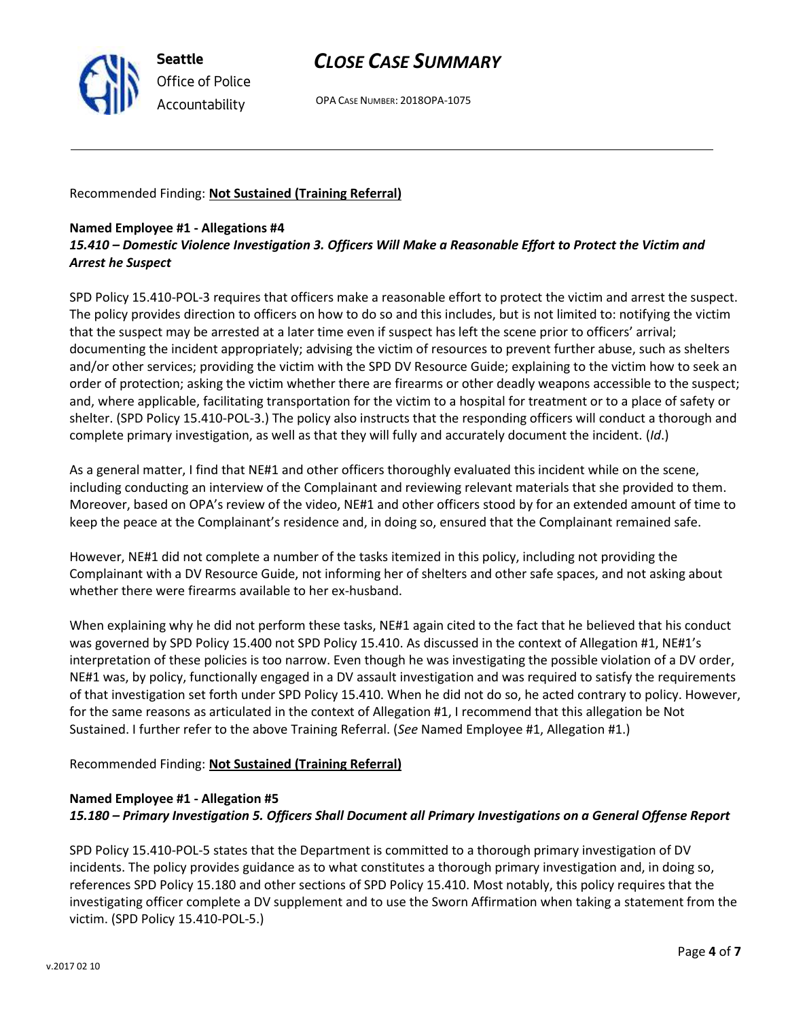

# *CLOSE CASE SUMMARY*

OPA CASE NUMBER: 2018OPA-1075

Recommended Finding: **Not Sustained (Training Referral)**

#### **Named Employee #1 - Allegations #4**

## *15.410 – Domestic Violence Investigation 3. Officers Will Make a Reasonable Effort to Protect the Victim and Arrest he Suspect*

SPD Policy 15.410-POL-3 requires that officers make a reasonable effort to protect the victim and arrest the suspect. The policy provides direction to officers on how to do so and this includes, but is not limited to: notifying the victim that the suspect may be arrested at a later time even if suspect has left the scene prior to officers' arrival; documenting the incident appropriately; advising the victim of resources to prevent further abuse, such as shelters and/or other services; providing the victim with the SPD DV Resource Guide; explaining to the victim how to seek an order of protection; asking the victim whether there are firearms or other deadly weapons accessible to the suspect; and, where applicable, facilitating transportation for the victim to a hospital for treatment or to a place of safety or shelter. (SPD Policy 15.410-POL-3.) The policy also instructs that the responding officers will conduct a thorough and complete primary investigation, as well as that they will fully and accurately document the incident. (*Id*.)

As a general matter, I find that NE#1 and other officers thoroughly evaluated this incident while on the scene, including conducting an interview of the Complainant and reviewing relevant materials that she provided to them. Moreover, based on OPA's review of the video, NE#1 and other officers stood by for an extended amount of time to keep the peace at the Complainant's residence and, in doing so, ensured that the Complainant remained safe.

However, NE#1 did not complete a number of the tasks itemized in this policy, including not providing the Complainant with a DV Resource Guide, not informing her of shelters and other safe spaces, and not asking about whether there were firearms available to her ex-husband.

When explaining why he did not perform these tasks, NE#1 again cited to the fact that he believed that his conduct was governed by SPD Policy 15.400 not SPD Policy 15.410. As discussed in the context of Allegation #1, NE#1's interpretation of these policies is too narrow. Even though he was investigating the possible violation of a DV order, NE#1 was, by policy, functionally engaged in a DV assault investigation and was required to satisfy the requirements of that investigation set forth under SPD Policy 15.410. When he did not do so, he acted contrary to policy. However, for the same reasons as articulated in the context of Allegation #1, I recommend that this allegation be Not Sustained. I further refer to the above Training Referral. (*See* Named Employee #1, Allegation #1.)

## Recommended Finding: **Not Sustained (Training Referral)**

#### **Named Employee #1 - Allegation #5**

## *15.180 – Primary Investigation 5. Officers Shall Document all Primary Investigations on a General Offense Report*

SPD Policy 15.410-POL-5 states that the Department is committed to a thorough primary investigation of DV incidents. The policy provides guidance as to what constitutes a thorough primary investigation and, in doing so, references SPD Policy 15.180 and other sections of SPD Policy 15.410. Most notably, this policy requires that the investigating officer complete a DV supplement and to use the Sworn Affirmation when taking a statement from the victim. (SPD Policy 15.410-POL-5.)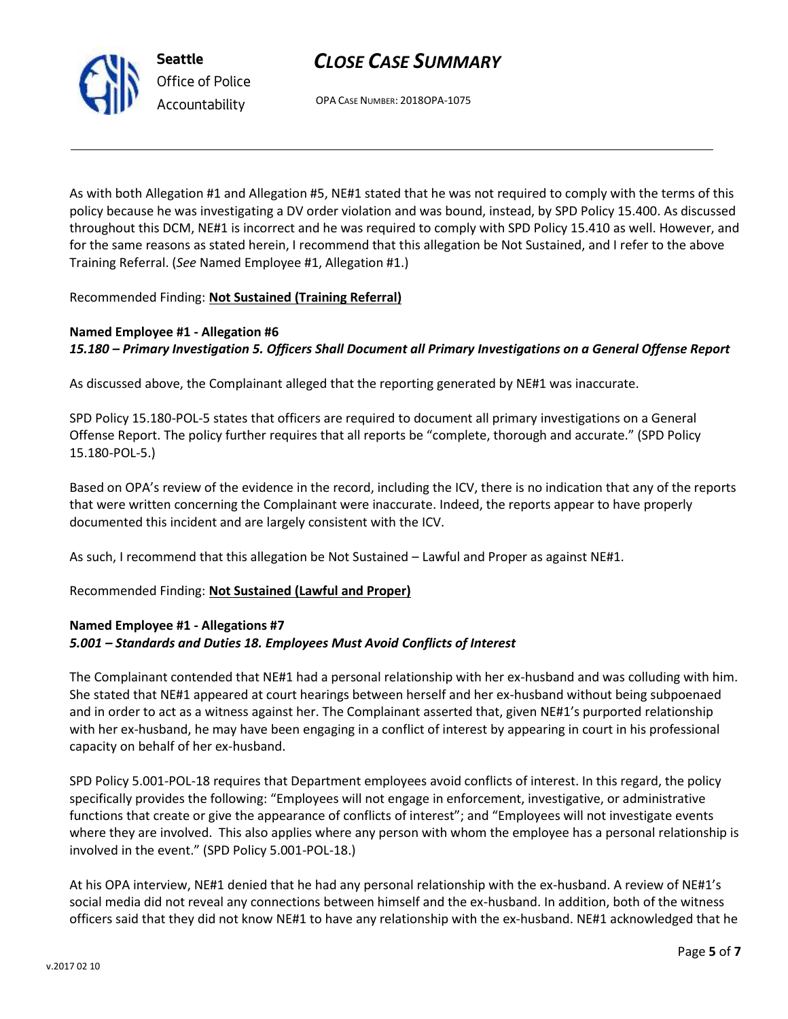v.2017 02 10

# *CLOSE CASE SUMMARY*

OPA CASE NUMBER: 2018OPA-1075

As with both Allegation #1 and Allegation #5, NE#1 stated that he was not required to comply with the terms of this policy because he was investigating a DV order violation and was bound, instead, by SPD Policy 15.400. As discussed throughout this DCM, NE#1 is incorrect and he was required to comply with SPD Policy 15.410 as well. However, and for the same reasons as stated herein, I recommend that this allegation be Not Sustained, and I refer to the above Training Referral. (*See* Named Employee #1, Allegation #1.)

Recommended Finding: **Not Sustained (Training Referral)**

**Seattle**

*Office of Police Accountability*

## **Named Employee #1 - Allegation #6** *15.180 – Primary Investigation 5. Officers Shall Document all Primary Investigations on a General Offense Report*

As discussed above, the Complainant alleged that the reporting generated by NE#1 was inaccurate.

SPD Policy 15.180-POL-5 states that officers are required to document all primary investigations on a General Offense Report. The policy further requires that all reports be "complete, thorough and accurate." (SPD Policy 15.180-POL-5.)

Based on OPA's review of the evidence in the record, including the ICV, there is no indication that any of the reports that were written concerning the Complainant were inaccurate. Indeed, the reports appear to have properly documented this incident and are largely consistent with the ICV.

As such, I recommend that this allegation be Not Sustained – Lawful and Proper as against NE#1.

Recommended Finding: **Not Sustained (Lawful and Proper)**

## **Named Employee #1 - Allegations #7** *5.001 – Standards and Duties 18. Employees Must Avoid Conflicts of Interest*

The Complainant contended that NE#1 had a personal relationship with her ex-husband and was colluding with him. She stated that NE#1 appeared at court hearings between herself and her ex-husband without being subpoenaed and in order to act as a witness against her. The Complainant asserted that, given NE#1's purported relationship with her ex-husband, he may have been engaging in a conflict of interest by appearing in court in his professional capacity on behalf of her ex-husband.

SPD Policy 5.001-POL-18 requires that Department employees avoid conflicts of interest. In this regard, the policy specifically provides the following: "Employees will not engage in enforcement, investigative, or administrative functions that create or give the appearance of conflicts of interest"; and "Employees will not investigate events where they are involved. This also applies where any person with whom the employee has a personal relationship is involved in the event." (SPD Policy 5.001-POL-18.)

At his OPA interview, NE#1 denied that he had any personal relationship with the ex-husband. A review of NE#1's social media did not reveal any connections between himself and the ex-husband. In addition, both of the witness officers said that they did not know NE#1 to have any relationship with the ex-husband. NE#1 acknowledged that he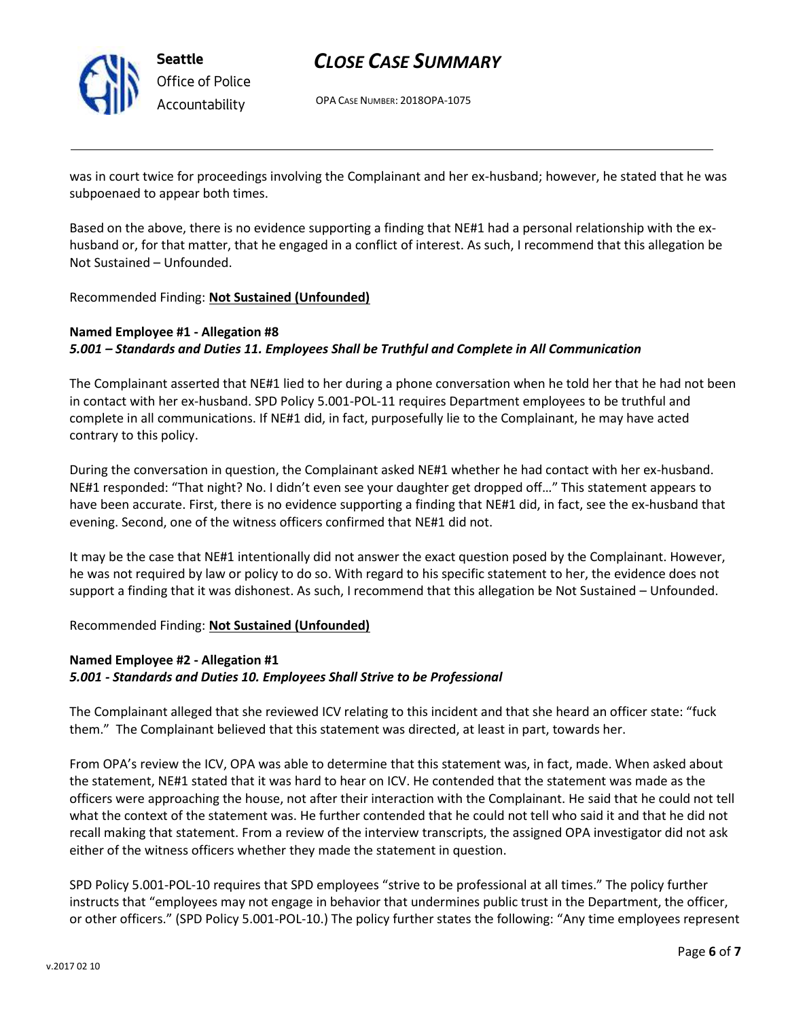

**Seattle** *Office of Police Accountability*

# *CLOSE CASE SUMMARY*

OPA CASE NUMBER: 2018OPA-1075

was in court twice for proceedings involving the Complainant and her ex-husband; however, he stated that he was subpoenaed to appear both times.

Based on the above, there is no evidence supporting a finding that NE#1 had a personal relationship with the exhusband or, for that matter, that he engaged in a conflict of interest. As such, I recommend that this allegation be Not Sustained – Unfounded.

Recommended Finding: **Not Sustained (Unfounded)**

## **Named Employee #1 - Allegation #8** *5.001 – Standards and Duties 11. Employees Shall be Truthful and Complete in All Communication*

The Complainant asserted that NE#1 lied to her during a phone conversation when he told her that he had not been in contact with her ex-husband. SPD Policy 5.001-POL-11 requires Department employees to be truthful and complete in all communications. If NE#1 did, in fact, purposefully lie to the Complainant, he may have acted contrary to this policy.

During the conversation in question, the Complainant asked NE#1 whether he had contact with her ex-husband. NE#1 responded: "That night? No. I didn't even see your daughter get dropped off…" This statement appears to have been accurate. First, there is no evidence supporting a finding that NE#1 did, in fact, see the ex-husband that evening. Second, one of the witness officers confirmed that NE#1 did not.

It may be the case that NE#1 intentionally did not answer the exact question posed by the Complainant. However, he was not required by law or policy to do so. With regard to his specific statement to her, the evidence does not support a finding that it was dishonest. As such, I recommend that this allegation be Not Sustained – Unfounded.

## Recommended Finding: **Not Sustained (Unfounded)**

## **Named Employee #2 - Allegation #1** *5.001 - Standards and Duties 10. Employees Shall Strive to be Professional*

The Complainant alleged that she reviewed ICV relating to this incident and that she heard an officer state: "fuck them." The Complainant believed that this statement was directed, at least in part, towards her.

From OPA's review the ICV, OPA was able to determine that this statement was, in fact, made. When asked about the statement, NE#1 stated that it was hard to hear on ICV. He contended that the statement was made as the officers were approaching the house, not after their interaction with the Complainant. He said that he could not tell what the context of the statement was. He further contended that he could not tell who said it and that he did not recall making that statement. From a review of the interview transcripts, the assigned OPA investigator did not ask either of the witness officers whether they made the statement in question.

SPD Policy 5.001-POL-10 requires that SPD employees "strive to be professional at all times." The policy further instructs that "employees may not engage in behavior that undermines public trust in the Department, the officer, or other officers." (SPD Policy 5.001-POL-10.) The policy further states the following: "Any time employees represent